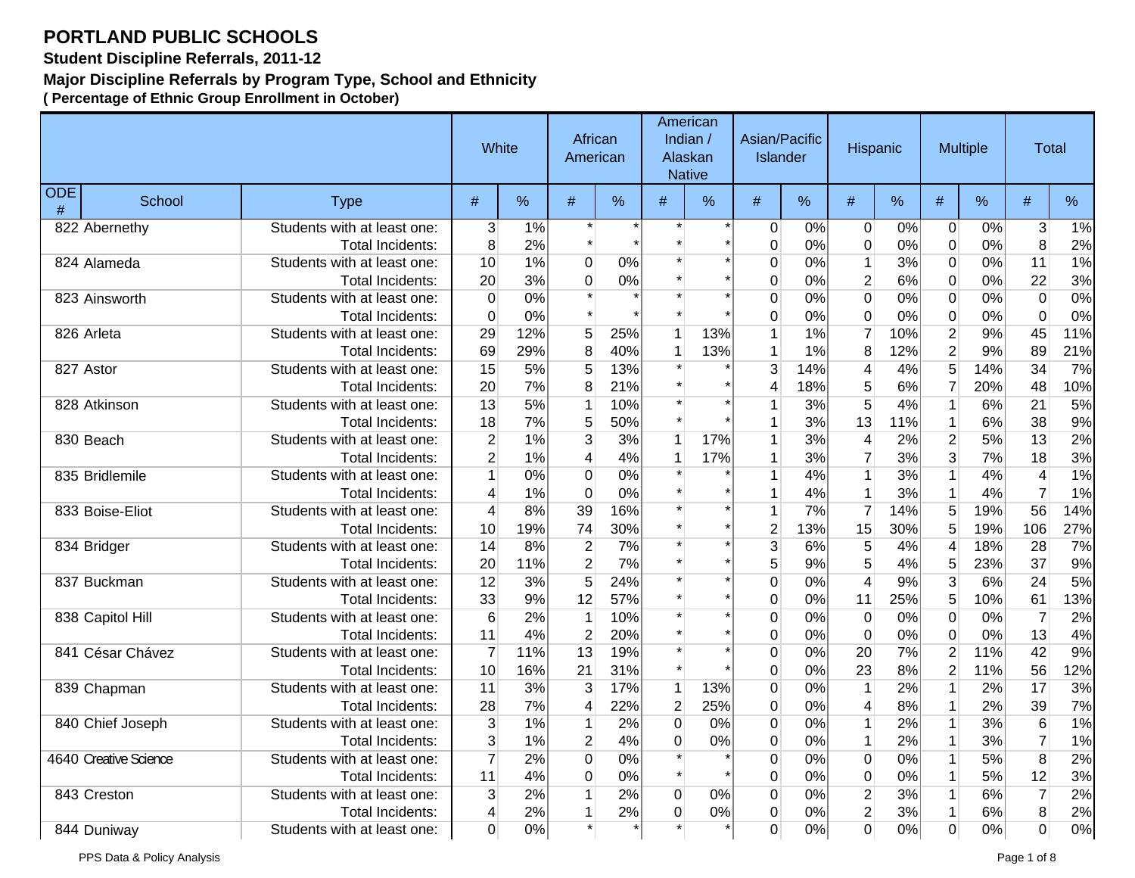**Student Discipline Referrals, 2011-12**

### **Major Discipline Referrals by Program Type, School and Ethnicity**

|                 |                       |                             | White          |       | African<br>American |     |                     | American<br>Indian /<br>Alaskan<br><b>Native</b> | Asian/Pacific<br><b>Islander</b> |      | Hispanic                |       |                          | <b>Multiple</b> | Total                    |       |
|-----------------|-----------------------|-----------------------------|----------------|-------|---------------------|-----|---------------------|--------------------------------------------------|----------------------------------|------|-------------------------|-------|--------------------------|-----------------|--------------------------|-------|
| <b>ODE</b><br># | School                | <b>Type</b>                 | #              | %     | #                   | %   | #                   | %                                                | #                                | $\%$ | #                       | %     | #                        | %               | #                        | %     |
|                 | 822 Abernethy         | Students with at least one: | 3              | $1\%$ |                     |     |                     |                                                  | 0                                | 0%   | $\overline{0}$          | $0\%$ | $\overline{0}$           | 0%              | $\overline{3}$           | 1%    |
|                 |                       | Total Incidents:            | 8              | 2%    |                     |     |                     |                                                  | $\mathbf 0$                      | 0%   | $\pmb{0}$               | 0%    | $\pmb{0}$                | 0%              | 8                        | 2%    |
|                 | 824 Alameda           | Students with at least one: | 10             | 1%    | $\overline{0}$      | 0%  |                     |                                                  | $\mathbf 0$                      | 0%   | $\mathbf{1}$            | 3%    | $\mathbf 0$              | 0%              | 11                       | 1%    |
|                 |                       | <b>Total Incidents:</b>     | 20             | 3%    | $\overline{0}$      | 0%  |                     |                                                  | 0                                | 0%   | $\overline{2}$          | 6%    | $\overline{0}$           | 0%              | 22                       | 3%    |
|                 | 823 Ainsworth         | Students with at least one: | $\mathbf 0$    | 0%    |                     |     |                     |                                                  | $\mathbf 0$                      | 0%   | $\overline{0}$          | 0%    | $\overline{0}$           | 0%              | $\overline{0}$           | 0%    |
|                 |                       | Total Incidents:            | $\mathbf 0$    | 0%    |                     |     |                     |                                                  | $\mathbf 0$                      | 0%   | 0                       | 0%    | $\boldsymbol{0}$         | 0%              | 0                        | $0\%$ |
|                 | 826 Arleta            | Students with at least one: | 29             | 12%   | 5                   | 25% | 1                   | 13%                                              | 1                                | 1%   | $\overline{7}$          | 10%   | $\overline{2}$           | 9%              | 45                       | 11%   |
|                 |                       | Total Incidents:            | 69             | 29%   | 8                   | 40% | 1                   | 13%                                              | $\mathbf 1$                      | 1%   | 8                       | 12%   | $\overline{2}$           | 9%              | 89                       | 21%   |
|                 | 827 Astor             | Students with at least one: | 15             | 5%    | 5                   | 13% |                     |                                                  | 3                                | 14%  | $\overline{\mathbf{4}}$ | 4%    | $\overline{5}$           | 14%             | 34                       | 7%    |
|                 |                       | <b>Total Incidents:</b>     | 20             | 7%    | 8                   | 21% |                     |                                                  | 4                                | 18%  | 5                       | 6%    | $\overline{7}$           | 20%             | 48                       | 10%   |
|                 | 828 Atkinson          | Students with at least one: | 13             | 5%    | 1                   | 10% |                     |                                                  |                                  | 3%   | 5                       | 4%    | $\mathbf{1}$             | 6%              | 21                       | 5%    |
|                 |                       | <b>Total Incidents:</b>     | 18             | 7%    | 5                   | 50% | $\star$             |                                                  |                                  | 3%   | 13                      | 11%   | $\mathbf{1}$             | 6%              | 38                       | 9%    |
|                 | 830 Beach             | Students with at least one: | $\overline{c}$ | 1%    | 3                   | 3%  | $\mathbf 1$         | 17%                                              |                                  | 3%   | 4                       | 2%    | $\overline{2}$           | 5%              | 13                       | 2%    |
|                 |                       | <b>Total Incidents:</b>     | $\overline{2}$ | 1%    | 4                   | 4%  | 1                   | 17%                                              | 1                                | 3%   | $\overline{7}$          | 3%    | $\overline{3}$           | 7%              | 18                       | 3%    |
|                 | 835 Bridlemile        | Students with at least one: |                | 0%    | $\overline{0}$      | 0%  |                     |                                                  |                                  | 4%   | $\overline{1}$          | 3%    | $\overline{1}$           | 4%              | $\overline{\mathcal{A}}$ | 1%    |
|                 |                       | <b>Total Incidents:</b>     | 4              | 1%    | $\mathbf 0$         | 0%  |                     |                                                  |                                  | 4%   | $\mathbf{1}$            | 3%    | $\mathbf{1}$             | 4%              | $\overline{7}$           | 1%    |
|                 | 833 Boise-Eliot       | Students with at least one: | 4              | 8%    | 39                  | 16% |                     |                                                  | 1                                | 7%   | $\overline{7}$          | 14%   | 5                        | 19%             | 56                       | 14%   |
|                 |                       | <b>Total Incidents:</b>     | 10             | 19%   | 74                  | 30% |                     |                                                  | $\overline{2}$                   | 13%  | 15                      | 30%   | 5                        | 19%             | 106                      | 27%   |
|                 | 834 Bridger           | Students with at least one: | 14             | 8%    | $\boldsymbol{2}$    | 7%  |                     |                                                  | 3                                | 6%   | 5                       | 4%    | $\overline{\mathcal{L}}$ | 18%             | 28                       | 7%    |
|                 |                       | <b>Total Incidents:</b>     | 20             | 11%   | $\overline{2}$      | 7%  |                     |                                                  | 5                                | 9%   | 5                       | 4%    | 5                        | 23%             | 37                       | 9%    |
|                 | 837 Buckman           | Students with at least one: | 12             | 3%    | 5                   | 24% |                     |                                                  | $\mathbf 0$                      | 0%   | $\overline{4}$          | 9%    | $\overline{3}$           | 6%              | 24                       | 5%    |
|                 |                       | Total Incidents:            | 33             | 9%    | 12                  | 57% |                     |                                                  | 0                                | 0%   | 11                      | 25%   | 5                        | 10%             | 61                       | 13%   |
|                 | 838 Capitol Hill      | Students with at least one: | 6              | 2%    | $\mathbf 1$         | 10% |                     |                                                  | $\mathbf 0$                      | 0%   | $\overline{0}$          | 0%    | $\overline{0}$           | 0%              | $\overline{7}$           | 2%    |
|                 |                       | Total Incidents:            | 11             | 4%    | $\overline{2}$      | 20% |                     |                                                  | $\mathbf 0$                      | 0%   | $\overline{0}$          | 0%    | $\overline{0}$           | 0%              | 13                       | 4%    |
|                 | 841 César Chávez      | Students with at least one: | $\overline{7}$ | 11%   | 13                  | 19% |                     |                                                  | $\mathbf 0$                      | 0%   | 20                      | 7%    | $\overline{2}$           | 11%             | 42                       | 9%    |
|                 |                       | <b>Total Incidents:</b>     | 10             | 16%   | 21                  | 31% |                     |                                                  | $\mathbf 0$                      | 0%   | 23                      | 8%    | $\overline{2}$           | 11%             | 56                       | 12%   |
|                 | 839 Chapman           | Students with at least one: | 11             | 3%    | $\overline{3}$      | 17% | $\mathbf{1}$        | 13%                                              | $\pmb{0}$                        | 0%   | $\overline{1}$          | 2%    | $\overline{1}$           | 2%              | 17                       | 3%    |
|                 |                       | Total Incidents:            | 28             | 7%    | 4                   | 22% | $\mathbf{2}$        | 25%                                              | $\pmb{0}$                        | 0%   | 4                       | 8%    | $\mathbf{1}$             | 2%              | 39                       | 7%    |
|                 | 840 Chief Joseph      | Students with at least one: | 3              | 1%    | $\mathbf{1}$        | 2%  | 0                   | 0%                                               | $\mathbf 0$                      | 0%   | $\mathbf{1}$            | 2%    | $\mathbf{1}$             | 3%              | 6                        | 1%    |
|                 |                       | <b>Total Incidents:</b>     | 3              | 1%    | $\overline{2}$      | 4%  | $\Omega$<br>$\star$ | 0%                                               | $\mathbf 0$                      | 0%   | $\mathbf{1}$            | 2%    | $\mathbf{1}$             | 3%              | 7                        | 1%    |
|                 | 4640 Creative Science | Students with at least one: | $\overline{7}$ | 2%    | $\overline{0}$      | 0%  | $\star$             |                                                  | 0                                | 0%   | $\overline{0}$          | 0%    | $\overline{1}$           | 5%              | $\overline{8}$           | 2%    |
|                 |                       | Total Incidents:            | 11             | 4%    | 0                   | 0%  |                     |                                                  | $\pmb{0}$                        | 0%   | 0                       | 0%    | $\mathbf{1}$             | 5%              | 12                       | 3%    |
|                 | 843 Creston           | Students with at least one: | 3              | 2%    |                     | 2%  | $\overline{0}$      | 0%                                               | $\pmb{0}$                        | 0%   | $\overline{2}$          | 3%    | $\overline{1}$           | 6%              | $\overline{7}$           | 2%    |
|                 |                       | Total Incidents:            | 4              | 2%    | 1<br>$\star$        | 2%  | $\overline{0}$      | 0%                                               | $\mathbf 0$                      | 0%   | $\overline{2}$          | 3%    | $\mathbf{1}$             | 6%              | 8                        | 2%    |
|                 | 844 Duniway           | Students with at least one: | $\Omega$       | 0%    |                     |     |                     |                                                  | 0                                | 0%   | $\overline{0}$          | 0%    | $\overline{0}$           | 0%              | $\overline{0}$           | 0%    |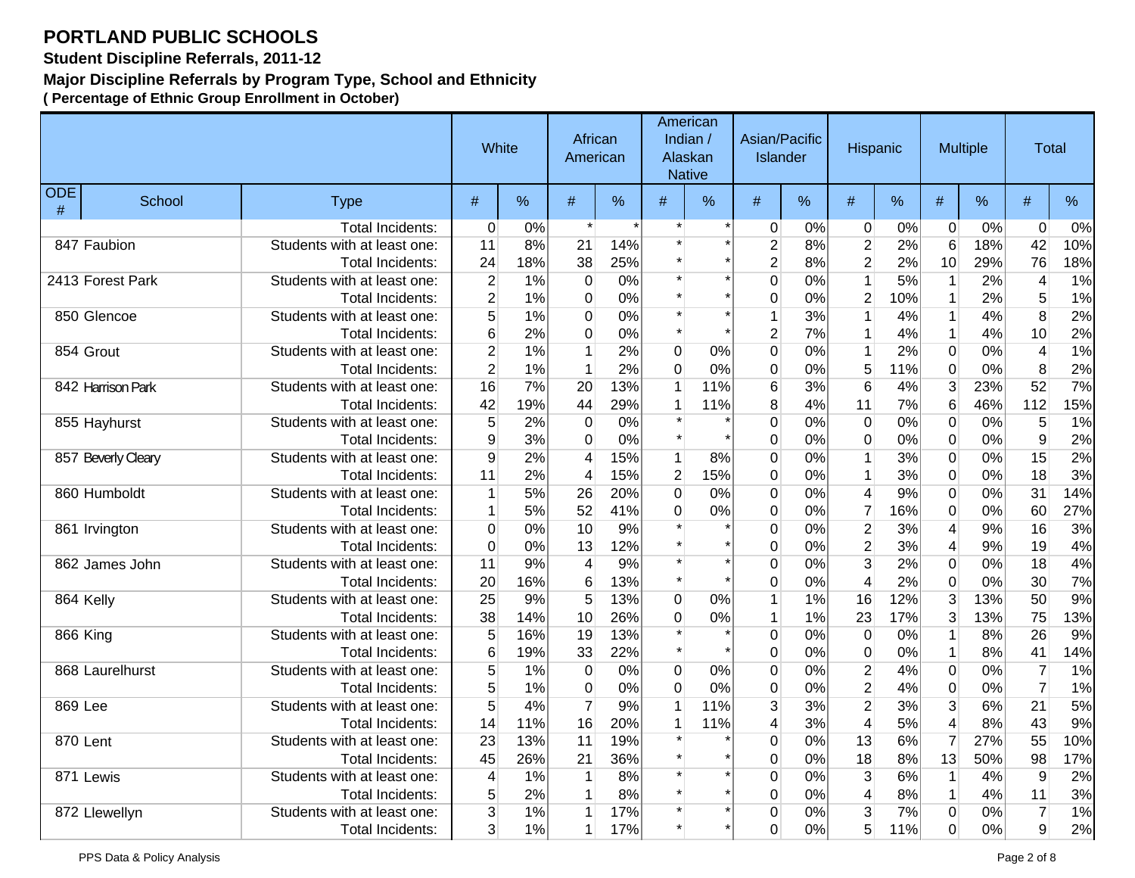**Student Discipline Referrals, 2011-12**

### **Major Discipline Referrals by Program Type, School and Ethnicity**

|                 |                    |                             | White          |     | African<br>American |     |                | American<br>Indian /<br>Alaskan<br><b>Native</b> | Asian/Pacific<br>Islander |       | <b>Hispanic</b>         |     |                  | <b>Multiple</b> | <b>Total</b>   |     |
|-----------------|--------------------|-----------------------------|----------------|-----|---------------------|-----|----------------|--------------------------------------------------|---------------------------|-------|-------------------------|-----|------------------|-----------------|----------------|-----|
| <b>ODE</b><br># | School             | <b>Type</b>                 | $\#$           | %   | #                   | %   | #              | %                                                | #                         | %     | #                       | %   | #                | %               | $\#$           | %   |
|                 |                    | <b>Total Incidents:</b>     | $\Omega$       | 0%  | $\star$             |     |                |                                                  | 0                         | 0%    | $\mathbf 0$             | 0%  | $\mathbf 0$      | 0%              | $\Omega$       | 0%  |
|                 | 847 Faubion        | Students with at least one: | 11             | 8%  | 21                  | 14% |                |                                                  | $\overline{2}$            | 8%    | $\overline{c}$          | 2%  | 6                | 18%             | 42             | 10% |
|                 |                    | <b>Total Incidents:</b>     | 24             | 18% | 38                  | 25% |                |                                                  | $\overline{2}$            | 8%    | $\overline{2}$          | 2%  | 10               | 29%             | 76             | 18% |
|                 | 2413 Forest Park   | Students with at least one: | $\overline{2}$ | 1%  | $\overline{0}$      | 0%  | $\star$        |                                                  | $\overline{0}$            | 0%    | $\overline{1}$          | 5%  | $\mathbf{1}$     | 2%              | 4              | 1%  |
|                 |                    | <b>Total Incidents:</b>     | $\overline{2}$ | 1%  | $\pmb{0}$           | 0%  |                |                                                  | 0                         | 0%    | $\overline{2}$          | 10% | $\mathbf 1$      | 2%              | 5              | 1%  |
|                 | 850 Glencoe        | Students with at least one: | 5              | 1%  | $\overline{0}$      | 0%  | $\star$        |                                                  | $\mathbf{1}$              | 3%    | $\mathbf{1}$            | 4%  | $\mathbf{1}$     | 4%              | 8              | 2%  |
|                 |                    | <b>Total Incidents:</b>     | 6              | 2%  | $\Omega$            | 0%  | $\star$        |                                                  | $\overline{2}$            | 7%    | 1                       | 4%  | 1                | 4%              | 10             | 2%  |
|                 | 854 Grout          | Students with at least one: | $\overline{2}$ | 1%  | $\mathbf 1$         | 2%  | $\mathbf 0$    | 0%                                               | $\overline{0}$            | 0%    | $\mathbf 1$             | 2%  | $\boldsymbol{0}$ | 0%              | $\overline{4}$ | 1%  |
|                 |                    | <b>Total Incidents:</b>     | $\overline{2}$ | 1%  | $\mathbf 1$         | 2%  | $\overline{0}$ | 0%                                               | 0                         | 0%    | 5                       | 11% | $\mathbf 0$      | 0%              | 8              | 2%  |
|                 | 842 Harrison Park  | Students with at least one: | 16             | 7%  | 20                  | 13% | 1              | 11%                                              | 6                         | 3%    | $6\overline{6}$         | 4%  | 3                | 23%             | 52             | 7%  |
|                 |                    | Total Incidents:            | 42             | 19% | 44                  | 29% | $\mathbf{1}$   | 11%                                              | 8                         | 4%    | 11                      | 7%  | $6\phantom{1}6$  | 46%             | 112            | 15% |
|                 | 855 Hayhurst       | Students with at least one: | 5              | 2%  | $\overline{0}$      | 0%  |                |                                                  | 0                         | 0%    | 0                       | 0%  | $\mathbf 0$      | 0%              | 5              | 1%  |
|                 |                    | <b>Total Incidents:</b>     | 9              | 3%  | $\mathbf 0$         | 0%  | $\star$        |                                                  | 0                         | 0%    | 0                       | 0%  | $\pmb{0}$        | 0%              | 9              | 2%  |
|                 | 857 Beverly Cleary | Students with at least one: | 9              | 2%  | $\overline{4}$      | 15% | 1              | 8%                                               | 0                         | 0%    | 1                       | 3%  | $\boldsymbol{0}$ | 0%              | 15             | 2%  |
|                 |                    | <b>Total Incidents:</b>     | 11             | 2%  | 4                   | 15% | $\overline{2}$ | 15%                                              | 0                         | 0%    | $\mathbf{1}$            | 3%  | $\mathbf 0$      | 0%              | 18             | 3%  |
|                 | 860 Humboldt       | Students with at least one: |                | 5%  | 26                  | 20% | $\overline{0}$ | 0%                                               | 0                         | 0%    | $\overline{\mathbf{4}}$ | 9%  | $\overline{0}$   | 0%              | 31             | 14% |
|                 |                    | <b>Total Incidents:</b>     |                | 5%  | 52                  | 41% | $\mathbf 0$    | 0%                                               | 0                         | 0%    | $\overline{7}$          | 16% | $\mathbf 0$      | 0%              | 60             | 27% |
|                 | 861 Irvington      | Students with at least one: | $\Omega$       | 0%  | 10                  | 9%  |                |                                                  | 0                         | 0%    | $\overline{2}$          | 3%  | $\overline{4}$   | 9%              | 16             | 3%  |
|                 |                    | Total Incidents:            | $\mathbf 0$    | 0%  | 13                  | 12% |                |                                                  | $\pmb{0}$                 | 0%    | $\overline{2}$          | 3%  | 4                | 9%              | 19             | 4%  |
|                 | 862 James John     | Students with at least one: | 11             | 9%  | $\overline{4}$      | 9%  | $\star$        |                                                  | 0                         | 0%    | 3                       | 2%  | $\pmb{0}$        | 0%              | 18             | 4%  |
|                 |                    | <b>Total Incidents:</b>     | 20             | 16% | 6                   | 13% |                |                                                  | 0                         | 0%    | $\overline{\mathbf{4}}$ | 2%  | $\mathbf 0$      | 0%              | 30             | 7%  |
|                 | 864 Kelly          | Students with at least one: | 25             | 9%  | 5                   | 13% | $\mathbf 0$    | 0%                                               | $\mathbf 1$               | 1%    | 16                      | 12% | 3                | 13%             | 50             | 9%  |
|                 |                    | Total Incidents:            | 38             | 14% | 10                  | 26% | $\overline{0}$ | 0%                                               | $\mathbf{1}$              | 1%    | 23                      | 17% | $\mathbf{3}$     | 13%             | 75             | 13% |
|                 | 866 King           | Students with at least one: | 5              | 16% | 19                  | 13% |                |                                                  | 0                         | 0%    | 0                       | 0%  | $\mathbf{1}$     | 8%              | 26             | 9%  |
|                 |                    | Total Incidents:            | 6              | 19% | 33                  | 22% |                |                                                  | $\mathbf 0$               | 0%    | 0                       | 0%  | 1                | 8%              | 41             | 14% |
|                 | 868 Laurelhurst    | Students with at least one: | 5              | 1%  | $\Omega$            | 0%  | $\overline{0}$ | 0%                                               | 0                         | 0%    | $\overline{c}$          | 4%  | $\overline{0}$   | 0%              | $\overline{7}$ | 1%  |
|                 |                    | <b>Total Incidents:</b>     | 5              | 1%  | $\mathbf 0$         | 0%  | $\overline{0}$ | 0%                                               | 0                         | 0%    | $\overline{2}$          | 4%  | $\overline{0}$   | 0%              | $\overline{7}$ | 1%  |
| 869 Lee         |                    | Students with at least one: | 5              | 4%  | $\overline{7}$      | 9%  | 1              | 11%                                              | 3                         | 3%    | $\overline{2}$          | 3%  | $\overline{3}$   | 6%              | 21             | 5%  |
|                 |                    | Total Incidents:            | 14             | 11% | 16                  | 20% | 1              | 11%                                              | 4                         | 3%    | $\overline{4}$          | 5%  | $\overline{4}$   | 8%              | 43             | 9%  |
|                 | 870 Lent           | Students with at least one: | 23             | 13% | 11                  | 19% |                |                                                  | 0                         | 0%    | 13                      | 6%  | $\overline{7}$   | 27%             | 55             | 10% |
|                 |                    | Total Incidents:            | 45             | 26% | 21                  | 36% |                |                                                  | 0                         | 0%    | 18                      | 8%  | 13               | 50%             | 98             | 17% |
|                 | 871 Lewis          | Students with at least one: | $\overline{4}$ | 1%  | 1                   | 8%  |                |                                                  | 0                         | 0%    | 3                       | 6%  | $\mathbf 1$      | 4%              | $9\,$          | 2%  |
|                 |                    | <b>Total Incidents:</b>     | 5              | 2%  | $\mathbf 1$         | 8%  |                |                                                  | 0                         | 0%    | 4                       | 8%  | $\mathbf{1}$     | 4%              | 11             | 3%  |
|                 | 872 Llewellyn      | Students with at least one: | 3              | 1%  | 1                   | 17% |                |                                                  | 0                         | 0%    | $\overline{3}$          | 7%  | $\boldsymbol{0}$ | 0%              | $\overline{7}$ | 1%  |
|                 |                    | <b>Total Incidents:</b>     | 3              | 1%  | 1                   | 17% |                |                                                  | 0                         | $0\%$ | $5\overline{)}$         | 11% | $\overline{0}$   | 0%              | 9              | 2%  |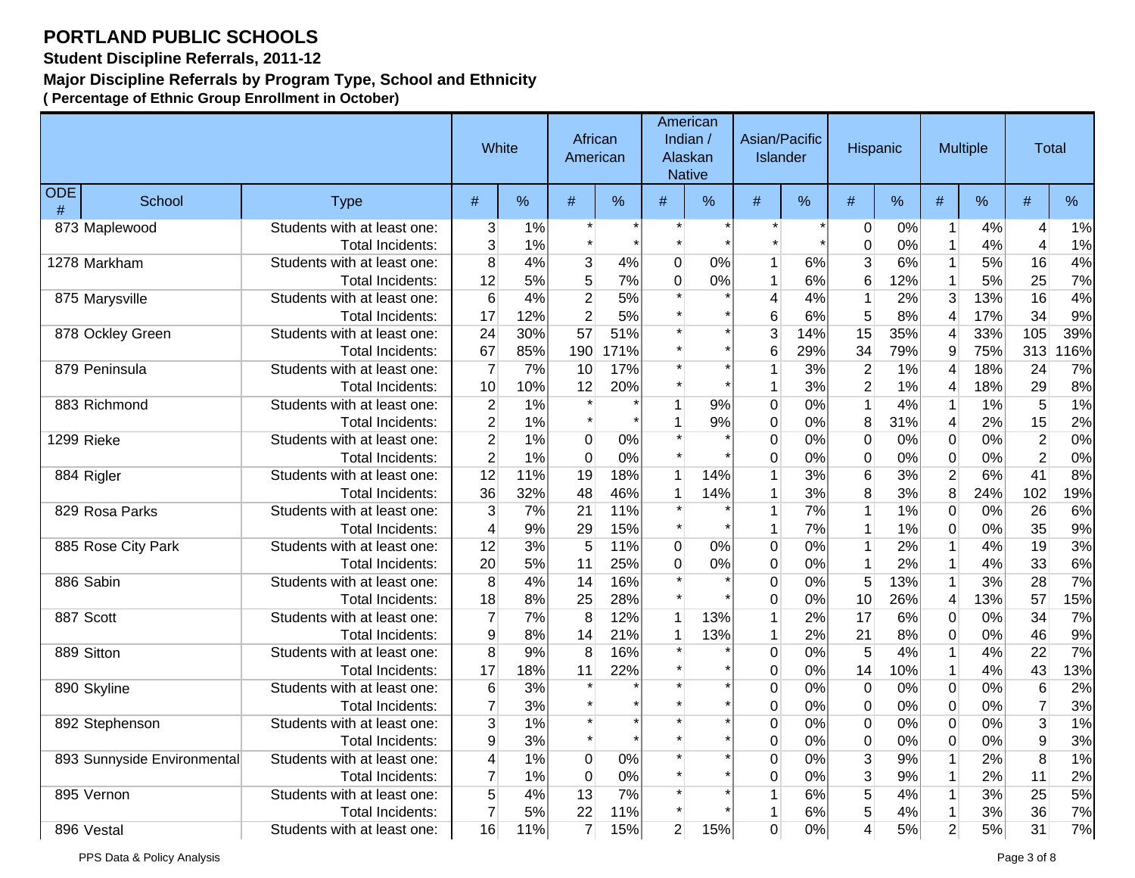**Student Discipline Referrals, 2011-12**

#### **Major Discipline Referrals by Program Type, School and Ethnicity**

|                 |                             |                             |                 | White | African<br>American |      |                | American<br>Indian /<br>Alaskan<br><b>Native</b> | Asian/Pacific<br><b>Islander</b> |     | <b>Hispanic</b>  |     |                         | <b>Multiple</b> | <b>Total</b>   |     |
|-----------------|-----------------------------|-----------------------------|-----------------|-------|---------------------|------|----------------|--------------------------------------------------|----------------------------------|-----|------------------|-----|-------------------------|-----------------|----------------|-----|
| <b>ODE</b><br># | School                      | <b>Type</b>                 | $\#$            | %     | #                   | %    | #              | %                                                | #                                | %   | #                | %   | #                       | %               | $\#$           | %   |
|                 | 873 Maplewood               | Students with at least one: | 3               | 1%    |                     |      |                |                                                  |                                  |     | $\overline{0}$   | 0%  | 1                       | 4%              | 4              | 1%  |
|                 |                             | Total Incidents:            | 3               | 1%    |                     |      |                |                                                  |                                  |     | $\pmb{0}$        | 0%  | 1                       | 4%              | $\overline{4}$ | 1%  |
|                 | 1278 Markham                | Students with at least one: | $\overline{8}$  | 4%    | $\overline{3}$      | 4%   | $\mathbf 0$    | 0%                                               | $\mathbf{1}$                     | 6%  | $\overline{3}$   | 6%  | $\mathbf{1}$            | 5%              | 16             | 4%  |
|                 |                             | <b>Total Incidents:</b>     | 12              | 5%    | 5 <sup>1</sup>      | 7%   | $\mathbf 0$    | 0%                                               | 1                                | 6%  | 6                | 12% | $\mathbf{1}$            | 5%              | 25             | 7%  |
|                 | 875 Marysville              | Students with at least one: | $6\phantom{1}6$ | 4%    | $\overline{2}$      | 5%   |                |                                                  | 4                                | 4%  | $\mathbf 1$      | 2%  | $\overline{3}$          | 13%             | 16             | 4%  |
|                 |                             | Total Incidents:            | 17              | 12%   | $\overline{2}$      | 5%   |                |                                                  | 6                                | 6%  | 5                | 8%  | $\overline{4}$          | 17%             | 34             | 9%  |
|                 | 878 Ockley Green            | Students with at least one: | 24              | 30%   | 57                  | 51%  |                |                                                  | 3                                | 14% | 15               | 35% | $\overline{4}$          | 33%             | 105            | 39% |
|                 |                             | Total Incidents:            | 67              | 85%   | 190                 | 171% |                |                                                  | 6                                | 29% | 34               | 79% | 9                       | 75%             | 313            | 16% |
|                 | 879 Peninsula               | Students with at least one: | 7               | 7%    | 10                  | 17%  |                |                                                  | 1                                | 3%  | $\overline{2}$   | 1%  | 4                       | 18%             | 24             | 7%  |
|                 |                             | <b>Total Incidents:</b>     | 10              | 10%   | 12                  | 20%  |                |                                                  | 1                                | 3%  | $\overline{2}$   | 1%  | 4                       | 18%             | 29             | 8%  |
|                 | 883 Richmond                | Students with at least one: | $\overline{c}$  | 1%    | $\star$             |      | $\mathbf{1}$   | 9%                                               | $\Omega$                         | 0%  | $\overline{1}$   | 4%  | $\mathbf{1}$            | 1%              | $\overline{5}$ | 1%  |
|                 |                             | <b>Total Incidents:</b>     | $\overline{2}$  | 1%    | $\star$             |      |                | 9%                                               | 0                                | 0%  | 8                | 31% | $\overline{4}$          | 2%              | 15             | 2%  |
|                 | 1299 Rieke                  | Students with at least one: | $\overline{2}$  | 1%    | $\overline{0}$      | 0%   |                |                                                  | 0                                | 0%  | $\pmb{0}$        | 0%  | $\boldsymbol{0}$        | 0%              | $\overline{2}$ | 0%  |
|                 |                             | <b>Total Incidents:</b>     | $\overline{2}$  | 1%    | $\Omega$            | 0%   |                |                                                  | 0                                | 0%  | $\overline{0}$   | 0%  | $\mathbf 0$             | 0%              | $\overline{2}$ | 0%  |
|                 | 884 Rigler                  | Students with at least one: | 12              | 11%   | 19                  | 18%  | $\mathbf{1}$   | 14%                                              | 1                                | 3%  | $6\overline{6}$  | 3%  | $\overline{2}$          | 6%              | 41             | 8%  |
|                 |                             | Total Incidents:            | 36              | 32%   | 48                  | 46%  | 1              | 14%                                              | 1                                | 3%  | 8                | 3%  | 8                       | 24%             | 102            | 19% |
|                 | 829 Rosa Parks              | Students with at least one: | 3               | 7%    | 21                  | 11%  |                |                                                  | 1                                | 7%  | $\mathbf{1}$     | 1%  | $\overline{0}$          | 0%              | 26             | 6%  |
|                 |                             | <b>Total Incidents:</b>     | 4               | 9%    | 29                  | 15%  | $\star$        |                                                  | 1                                | 7%  | $\mathbf 1$      | 1%  | $\mathbf 0$             | 0%              | 35             | 9%  |
|                 | 885 Rose City Park          | Students with at least one: | 12              | 3%    | 5                   | 11%  | $\mathbf 0$    | 0%                                               | 0                                | 0%  | $\mathbf 1$      | 2%  | $\mathbf{1}$            | 4%              | 19             | 3%  |
|                 |                             | <b>Total Incidents:</b>     | 20              | 5%    | 11                  | 25%  | $\mathbf 0$    | 0%                                               | 0                                | 0%  | $\mathbf{1}$     | 2%  | $\mathbf{1}$            | 4%              | 33             | 6%  |
|                 | 886 Sabin                   | Students with at least one: | $\bf 8$         | 4%    | 14                  | 16%  |                |                                                  | 0                                | 0%  | 5                | 13% | $\mathbf{1}$            | 3%              | 28             | 7%  |
|                 |                             | Total Incidents:            | 18              | 8%    | 25                  | 28%  |                |                                                  | 0                                | 0%  | 10               | 26% | $\overline{\mathbf{4}}$ | 13%             | 57             | 15% |
|                 | 887 Scott                   | Students with at least one: | $\overline{7}$  | 7%    | 8                   | 12%  | $\mathbf{1}$   | 13%                                              | 1                                | 2%  | 17               | 6%  | $\overline{0}$          | 0%              | 34             | 7%  |
|                 |                             | <b>Total Incidents:</b>     | 9               | 8%    | 14                  | 21%  | $\mathbf{1}$   | 13%                                              | 1                                | 2%  | 21               | 8%  | $\mathbf 0$             | 0%              | 46             | 9%  |
|                 | 889 Sitton                  | Students with at least one: | 8               | 9%    | 8                   | 16%  |                |                                                  | 0                                | 0%  | 5                | 4%  | 1                       | 4%              | 22             | 7%  |
|                 |                             | Total Incidents:            | 17              | 18%   | 11                  | 22%  |                |                                                  | 0                                | 0%  | 14               | 10% | $\mathbf{1}$            | 4%              | 43             | 13% |
|                 | 890 Skyline                 | Students with at least one: | $\,6$           | 3%    |                     |      |                |                                                  | $\overline{0}$                   | 0%  | $\boldsymbol{0}$ | 0%  | $\overline{\text{o}}$   | 0%              | $\overline{6}$ | 2%  |
|                 |                             | <b>Total Incidents:</b>     | $\overline{7}$  | 3%    | $\star$             |      |                |                                                  | $\mathbf 0$                      | 0%  | $\pmb{0}$        | 0%  | $\pmb{0}$               | 0%              | $\overline{7}$ | 3%  |
|                 | 892 Stephenson              | Students with at least one: | 3               | 1%    | $\star$             |      |                |                                                  | 0                                | 0%  | $\mathbf 0$      | 0%  | $\mathbf 0$             | 0%              | $\overline{3}$ | 1%  |
|                 |                             | Total Incidents:            | 9               | 3%    | $\star$             |      |                |                                                  | 0                                | 0%  | $\pmb{0}$        | 0%  | $\pmb{0}$               | 0%              | $\mathsf g$    | 3%  |
|                 | 893 Sunnyside Environmental | Students with at least one: | 4               | 1%    | $\overline{0}$      | 0%   |                |                                                  | 0                                | 0%  | $\overline{3}$   | 9%  | $\mathbf{1}$            | 2%              | $\overline{8}$ | 1%  |
|                 |                             | Total Incidents:            | $\overline{7}$  | 1%    | $\overline{0}$      | 0%   |                |                                                  | 0                                | 0%  | $\overline{3}$   | 9%  | $\mathbf{1}$            | 2%              | 11             | 2%  |
|                 | 895 Vernon                  | Students with at least one: | 5               | 4%    | 13                  | 7%   | $\star$        |                                                  | 1                                | 6%  | $\overline{5}$   | 4%  | $\mathbf 1$             | 3%              | 25             | 5%  |
|                 |                             | <b>Total Incidents:</b>     | $\overline{7}$  | 5%    | 22                  | 11%  |                |                                                  | 1                                | 6%  | $\sqrt{5}$       | 4%  | $\mathbf{1}$            | 3%              | 36             | 7%  |
|                 | 896 Vestal                  | Students with at least one: | 16              | 11%   | $\overline{7}$      | 15%  | $\overline{2}$ | 15%                                              | 0                                | 0%  | 4                | 5%  | $\overline{2}$          | 5%              | 31             | 7%  |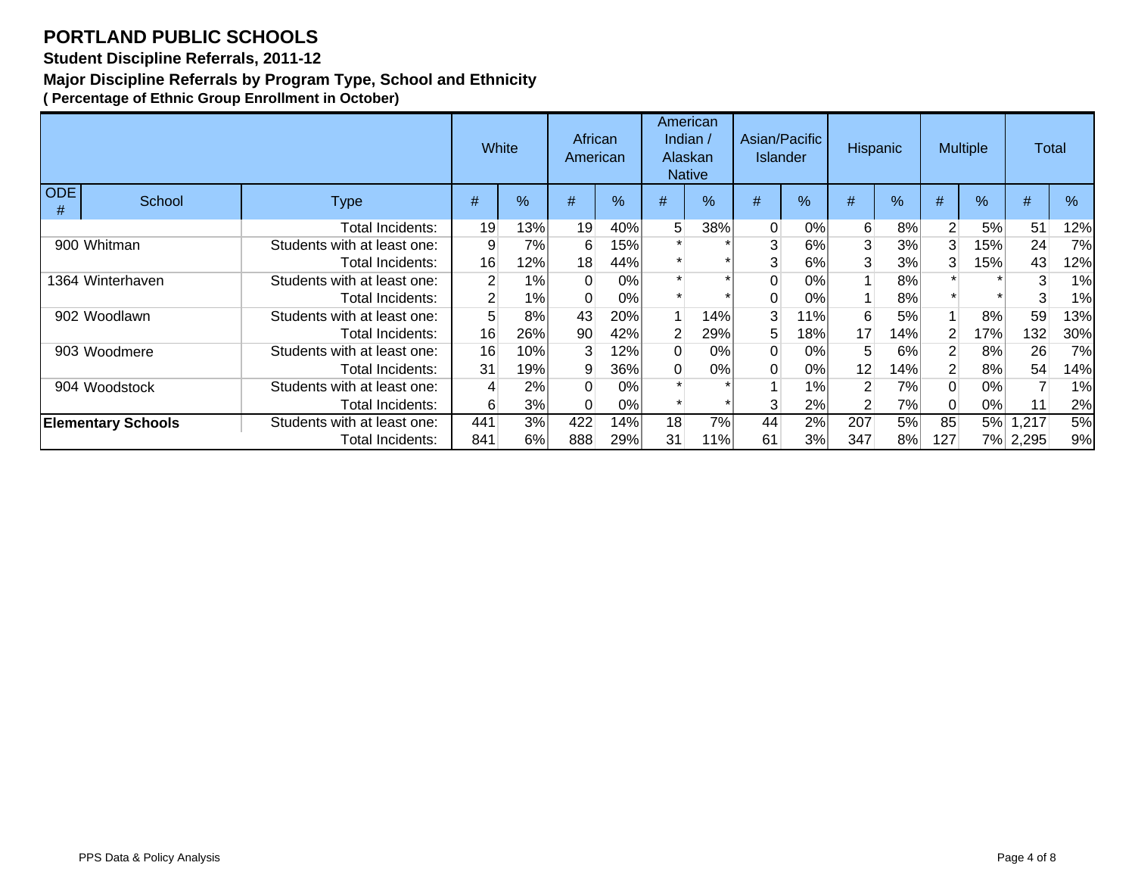#### **Student Discipline Referrals, 2011-12**

#### **Major Discipline Referrals by Program Type, School and Ethnicity**

|                 |                           |                             | White          |      | African<br>American |               |          | American<br>Indian $/$<br>Alaskan<br><b>Native</b> | Asian/Pacific<br><b>Islander</b> |               | Hispanic       |     | <b>Multiple</b> |     | <b>Total</b> |     |
|-----------------|---------------------------|-----------------------------|----------------|------|---------------------|---------------|----------|----------------------------------------------------|----------------------------------|---------------|----------------|-----|-----------------|-----|--------------|-----|
| <b>ODE</b><br># | School                    | <b>Type</b>                 | #              | $\%$ | #                   | $\frac{9}{6}$ | #        | %                                                  | #                                | $\frac{9}{6}$ | #              | %   | #               | %   | #            | %   |
|                 |                           | Total Incidents:            | 19             | 13%  | 19                  | 40%           | 5        | 38%                                                | $\Omega$                         | 0%            | 6              | 8%  | 2 <sup>1</sup>  | 5%  | 51           | 12% |
|                 | 900 Whitman               | Students with at least one: | 9              | 7%   | 6                   | 15%           |          |                                                    | 3                                | 6%            | 3              | 3%  | 3               | 15% | 24           | 7%  |
|                 |                           | Total Incidents:            | 16             | 12%  | 18                  | 44%           |          |                                                    | 3                                | 6%            | 3              | 3%  | 3               | 15% | 43           | 12% |
|                 | 1364 Winterhaven          | Students with at least one: | $\overline{2}$ | 1%   |                     | 0%            |          |                                                    | 0                                | 0%            |                | 8%  |                 |     | 3            | 1%  |
|                 |                           | Total Incidents:            | 2 <sup>1</sup> | 1%   |                     | 0%            |          |                                                    |                                  | 0%            |                | 8%  |                 |     | 3            | 1%  |
|                 | 902 Woodlawn              | Students with at least one: |                | 8%   | 43                  | 20%           |          | 14%                                                | 3                                | 11%           | 6              | 5%  |                 | 8%  | 59           | 13% |
|                 |                           | Total Incidents:            | 16             | 26%  | 90                  | 42%           | 2        | 29%                                                | 5                                | 18%           | 17             | 14% | $\overline{2}$  | 17% | 132          | 30% |
|                 | 903 Woodmere              | Students with at least one: | 16             | 10%  | $\mathbf{3}$        | $12\%$        | $\Omega$ | 0%                                                 | 0                                | 0%            | 5              | 6%  | $\overline{2}$  | 8%  | 26           | 7%  |
|                 |                           | Total Incidents:            | 31             | 19%  | 9                   | 36%           | 0        | 0%                                                 | 0                                | 0%            | 12             | 14% | 2 <sup>1</sup>  | 8%  | 54           | 14% |
|                 | 904 Woodstock             | Students with at least one: | 4              | 2%   |                     | 0%            |          |                                                    |                                  | 1%            | $\overline{2}$ | 7%  | $\Omega$        | 0%  |              | 1%  |
|                 |                           | Total Incidents:            | 6              | 3%   |                     | 0%            |          |                                                    | 3                                | 2%            | $\overline{2}$ | 7%  | $\Omega$        | 0%  | 11           | 2%  |
|                 | <b>Elementary Schools</b> | Students with at least one: | 441            | 3%   | 422                 | 14%           | 18       | 7%                                                 | 44                               | 2%            | 207            | 5%  | 85              |     | 5% 1,217     | 5%  |
|                 |                           | Total Incidents:            | 841            | 6%   | 888                 | 29%           | 31       | 11%                                                | 61                               | 3%l           | 347            | 8%  | 127             |     | 7% 2,295     | 9%  |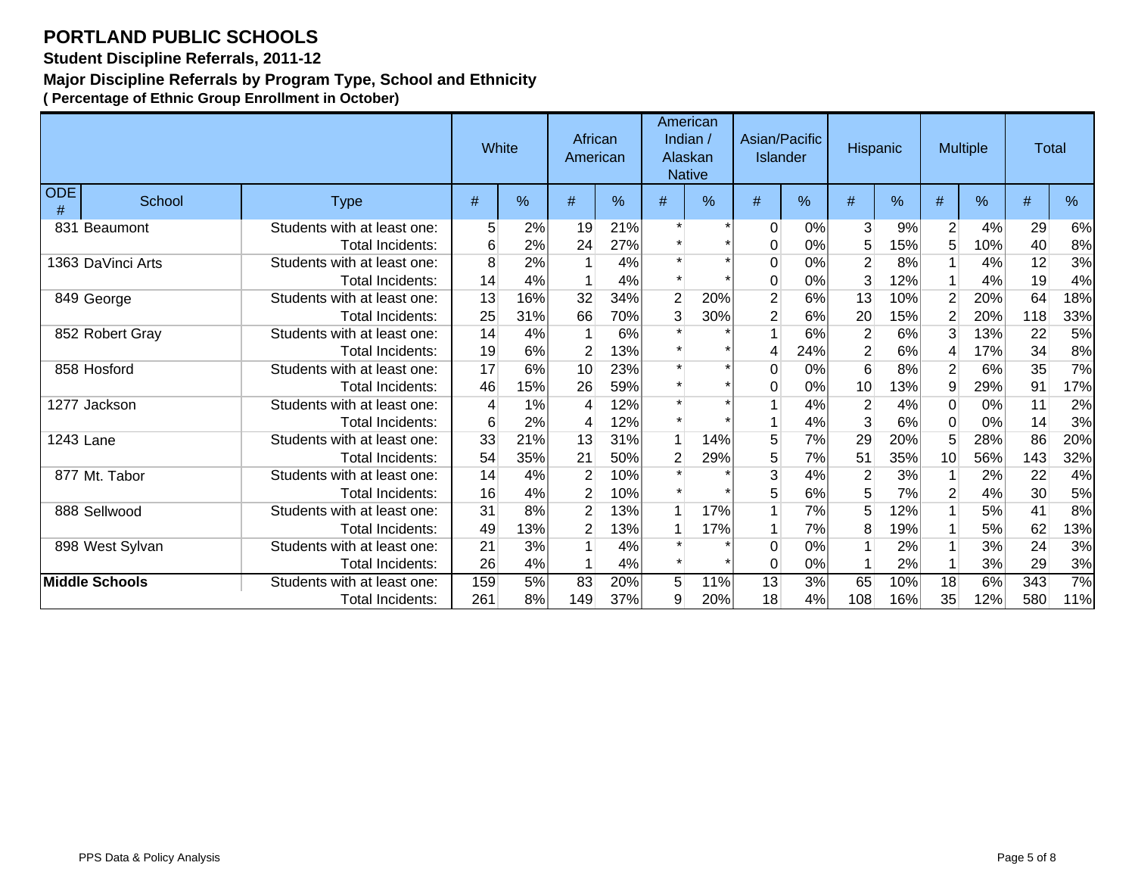**Student Discipline Referrals, 2011-12**

#### **Major Discipline Referrals by Program Type, School and Ethnicity**

|                 |                       |                                                        | White      |            | African<br>American              |            | American<br>Indian /<br>Alaskan<br><b>Native</b> |               | Asian/Pacific<br><b>Islander</b> |           | Hispanic              |            | <b>Multiple</b>                  |            | <b>Total</b> |            |
|-----------------|-----------------------|--------------------------------------------------------|------------|------------|----------------------------------|------------|--------------------------------------------------|---------------|----------------------------------|-----------|-----------------------|------------|----------------------------------|------------|--------------|------------|
| <b>ODE</b><br># | School                | <b>Type</b>                                            | #          | %          | #                                | ℅          | #                                                | $\frac{0}{0}$ | #                                | %         | #                     | %          | #                                | %          | #            | %          |
| 831             | Beaumont              | Students with at least one:<br>Total Incidents:        | 5<br>6     | 2%<br>2%   | 19<br>24                         | 21%<br>27% |                                                  |               | 0<br>0                           | 0%<br>0%  | 3<br>5                | 9%<br>15%  | $\overline{2}$<br>5              | 4%<br>10%  | 29<br>40     | 6%<br>8%   |
|                 | 1363 DaVinci Arts     | Students with at least one:<br>Total Incidents:        | 8<br>14    | 2%<br>4%   |                                  | 4%<br>4%   |                                                  |               | 0<br>0                           | 0%<br>0%  | $\overline{2}$<br>3   | 8%<br>12%  | 1<br>$\mathbf{1}$                | 4%<br>4%   | 12<br>19     | 3%<br>4%   |
|                 | 849 George            | Students with at least one:<br>Total Incidents:        | 13<br>25   | 16%<br>31% | 32<br>66                         | 34%<br>70% | $\overline{2}$<br>3                              | 20%<br>30%    | $\overline{2}$<br>2              | 6%<br>6%  | 13<br>20              | 10%<br>15% | $\overline{2}$<br>$\overline{2}$ | 20%<br>20% | 64<br>118    | 18%<br>33% |
|                 | 852 Robert Gray       | Students with at least one:<br>Total Incidents:        | 14<br>19   | 4%<br>6%   |                                  | 6%<br>13%  |                                                  |               | 4                                | 6%<br>24% | 2<br>2                | 6%<br>6%   | 3<br>4                           | 13%<br>17% | 22<br>34     | 5%<br>8%   |
|                 | 858 Hosford           | Students with at least one:<br>Total Incidents:        | 17<br>46   | 6%<br>15%  | 10<br>26                         | 23%<br>59% |                                                  |               | 0<br>0                           | 0%<br>0%  | $6\overline{6}$<br>10 | 8%<br>13%  | $\overline{2}$<br>9              | 6%<br>29%  | 35<br>91     | 7%<br>17%  |
|                 | 1277 Jackson          | Students with at least one:<br>Total Incidents:        | 6          | 1%<br>2%   | 4<br>4                           | 12%<br>12% |                                                  |               |                                  | 4%<br>4%  | $\overline{2}$<br>3   | 4%<br>6%   | $\Omega$<br>$\Omega$             | 0%<br>0%   | 11<br>14     | 2%<br>3%   |
| 1243 Lane       |                       | Students with at least one:<br><b>Total Incidents:</b> | 33<br>54   | 21%<br>35% | 13<br>21                         | 31%<br>50% | $\overline{2}$                                   | 14%<br>29%    | 5<br>5                           | 7%<br>7%  | 29<br>51              | 20%<br>35% | 5<br>10                          | 28%<br>56% | 86<br>143    | 20%<br>32% |
|                 | 877 Mt. Tabor         | Students with at least one:<br>Total Incidents:        | 14<br>16   | 4%<br>4%   | $\overline{2}$                   | 10%<br>10% |                                                  |               | $\mathbf{3}$<br>5                | 4%<br>6%  | $\overline{2}$<br>5   | 3%<br>7%   | $\mathbf 1$<br>$\overline{c}$    | 2%<br>4%   | 22<br>30     | 4%<br>5%   |
|                 | 888 Sellwood          | Students with at least one:<br>Total Incidents:        | 31<br>49   | 8%<br>13%  | $\overline{2}$<br>$\overline{2}$ | 13%<br>13% |                                                  | 17%<br>17%    |                                  | 7%<br>7%  | 5<br>8                | 12%<br>19% | $\mathbf{1}$                     | 5%<br>5%   | 41<br>62     | 8%<br>13%  |
|                 | 898 West Sylvan       | Students with at least one:<br>Total Incidents:        | 21<br>26   | 3%<br>4%   |                                  | 4%<br>4%   |                                                  |               | 0<br>$\Omega$                    | 0%<br>0%  |                       | 2%<br>2%   |                                  | 3%<br>3%   | 24<br>29     | 3%<br>3%   |
|                 | <b>Middle Schools</b> | Students with at least one:<br>Total Incidents:        | 159<br>261 | 5%<br>8%   | 83<br>149                        | 20%<br>37% | 5 <sup>1</sup><br>9                              | 11%<br>20%    | 13<br>18                         | 3%<br>4%  | 65<br>108             | 10%<br>16% | 18<br>35                         | 6%<br>12%  | 343<br>580   | 7%<br>11%  |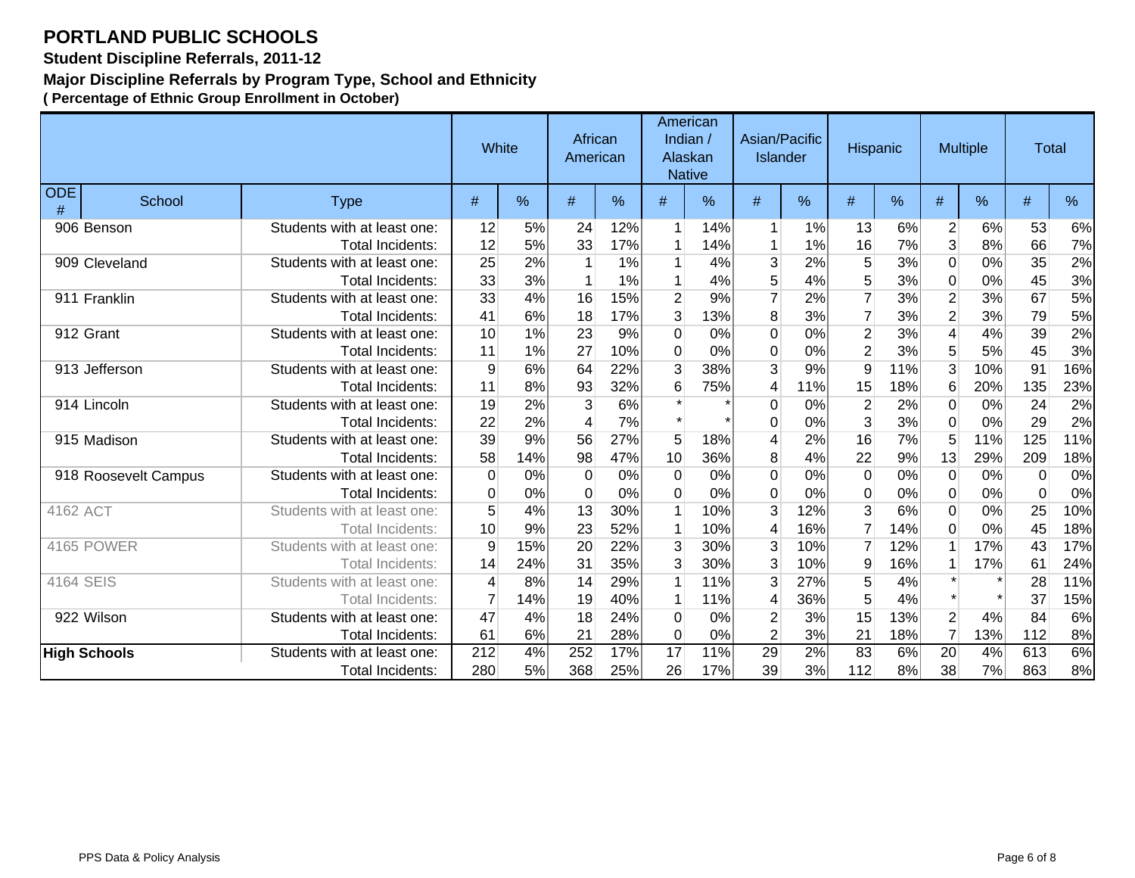**Student Discipline Referrals, 2011-12**

#### **Major Discipline Referrals by Program Type, School and Ethnicity**

|                 |                      |                             |                  | White | African<br>American |               |                | American<br>Indian /<br>Alaskan<br><b>Native</b> | Asian/Pacific<br>Islander |      | <b>Hispanic</b> |      |                         | <b>Multiple</b> | <b>Total</b> |      |
|-----------------|----------------------|-----------------------------|------------------|-------|---------------------|---------------|----------------|--------------------------------------------------|---------------------------|------|-----------------|------|-------------------------|-----------------|--------------|------|
| <b>ODE</b><br># | School               | <b>Type</b>                 | #                | $\%$  | #                   | $\frac{9}{6}$ | #              | $\frac{0}{6}$                                    | #                         | $\%$ | #               | $\%$ | #                       | %               | #            | $\%$ |
|                 | 906 Benson           | Students with at least one: | 12               | 5%    | 24                  | 12%           | $\mathbf 1$    | 14%                                              | 1                         | 1%   | 13              | 6%   | $\overline{2}$          | 6%              | 53           | 6%   |
|                 |                      | <b>Total Incidents:</b>     | 12               | 5%    | 33                  | 17%           |                | 14%                                              | 1                         | 1%   | 16              | 7%   | 3                       | 8%              | 66           | 7%   |
|                 | 909 Cleveland        | Students with at least one: | 25               | 2%    |                     | 1%            |                | 4%                                               | 3                         | 2%   | 5               | 3%   | $\boldsymbol{0}$        | 0%              | 35           | 2%   |
|                 |                      | <b>Total Incidents:</b>     | 33               | 3%    |                     | 1%            |                | 4%                                               | 5                         | 4%   | 5               | 3%   | 0                       | 0%              | 45           | 3%   |
|                 | 911 Franklin         | Students with at least one: | 33               | 4%    | 16                  | 15%           | $\overline{2}$ | 9%                                               | $\overline{7}$            | 2%   | $\overline{7}$  | 3%   | $\overline{2}$          | 3%              | 67           | 5%   |
|                 |                      | Total Incidents:            | 41               | 6%    | 18                  | 17%           | $\mathbf{3}$   | 13%                                              | 8                         | 3%   | $\overline{7}$  | 3%   | $\overline{2}$          | 3%              | 79           | 5%   |
|                 | 912 Grant            | Students with at least one: | 10               | 1%    | 23                  | 9%            | $\Omega$       | 0%                                               | 0                         | 0%   | $\overline{2}$  | 3%   | $\overline{\mathbf{4}}$ | 4%              | 39           | 2%   |
|                 |                      | <b>Total Incidents:</b>     | 11               | 1%    | 27                  | 10%           | $\Omega$       | 0%                                               | 0                         | 0%   | $\overline{2}$  | 3%   | 5                       | 5%              | 45           | 3%   |
|                 | 913 Jefferson        | Students with at least one: | 9                | 6%    | 64                  | 22%           | 3              | 38%                                              | 3                         | 9%   | $\overline{9}$  | 11%  | 3                       | 10%             | 91           | 16%  |
|                 |                      | <b>Total Incidents:</b>     | 11               | 8%    | 93                  | 32%           | 6              | 75%                                              | 4                         | 11%  | 15              | 18%  | $6 \,$                  | 20%             | 135          | 23%  |
|                 | 914 Lincoln          | Students with at least one: | 19               | 2%    | 3                   | 6%            |                |                                                  | 0                         | 0%   | $\overline{2}$  | 2%   | $\Omega$                | 0%              | 24           | 2%   |
|                 |                      | Total Incidents:            | 22               | 2%    | 4                   | 7%            |                |                                                  | 0                         | 0%   | 3               | 3%   | 0                       | 0%              | 29           | 2%   |
|                 | 915 Madison          | Students with at least one: | 39               | 9%    | 56                  | 27%           | 5              | 18%                                              | 4                         | 2%   | 16              | 7%   | 5                       | 11%             | 125          | 11%  |
|                 |                      | <b>Total Incidents:</b>     | 58               | 14%   | 98                  | 47%           | 10             | 36%                                              | 8                         | 4%   | 22              | 9%   | 13                      | 29%             | 209          | 18%  |
|                 | 918 Roosevelt Campus | Students with at least one: | 0                | 0%    | $\Omega$            | 0%            | $\Omega$       | 0%                                               | 0                         | 0%   | 0               | 0%   | 0                       | 0%              | $\Omega$     | 0%   |
|                 |                      | Total Incidents:            | 0                | 0%    | $\Omega$            | 0%            | $\Omega$       | 0%                                               | 0                         | 0%   | $\overline{0}$  | 0%   | 0                       | 0%              | $\Omega$     | 0%   |
| 4162 ACT        |                      | Students with at least one: | 5                | 4%    | 13                  | 30%           | $\mathbf{1}$   | 10%                                              | 3                         | 12%  | 3               | 6%   | $\Omega$                | $0\%$           | 25           | 10%  |
|                 |                      | Total Incidents:            | 10               | 9%    | 23                  | 52%           |                | 10%                                              | 4                         | 16%  | $\overline{7}$  | 14%  | $\Omega$                | 0%              | 45           | 18%  |
|                 | <b>4165 POWER</b>    | Students with at least one: | 9                | 15%   | 20                  | 22%           | 3              | 30%                                              | 3                         | 10%  | $\overline{7}$  | 12%  |                         | 17%             | 43           | 17%  |
|                 |                      | <b>Total Incidents:</b>     | 14               | 24%   | 31                  | 35%           | 3              | 30%                                              | 3                         | 10%  | 9               | 16%  |                         | 17%             | 61           | 24%  |
| 4164 SEIS       |                      | Students with at least one: | 4                | 8%    | 14                  | 29%           |                | 11%                                              | 3                         | 27%  | 5               | 4%   | $\star$                 |                 | 28           | 11%  |
|                 |                      | Total Incidents:            |                  | 14%   | 19                  | 40%           |                | 11%                                              | 4                         | 36%  | 5               | 4%   |                         |                 | 37           | 15%  |
|                 | 922 Wilson           | Students with at least one: | 47               | 4%    | 18                  | 24%           | $\Omega$       | 0%                                               | $\overline{c}$            | 3%   | 15              | 13%  | $\overline{2}$          | 4%              | 84           | 6%   |
|                 |                      | Total Incidents:            | 61               | 6%    | 21                  | 28%           | $\mathbf 0$    | 0%                                               | $\overline{2}$            | 3%   | 21              | 18%  | $\overline{7}$          | 13%             | 112          | 8%   |
|                 | <b>High Schools</b>  | Students with at least one: | $\overline{212}$ | 4%    | 252                 | 17%           | 17             | 11%                                              | 29                        | 2%   | 83              | 6%   | $\overline{20}$         | 4%              | 613          | 6%   |
|                 |                      | Total Incidents:            | 280              | 5%    | 368                 | 25%           | 26             | 17%                                              | 39                        | 3%   | 112             | 8%   | 38                      | 7%              | 863          | 8%   |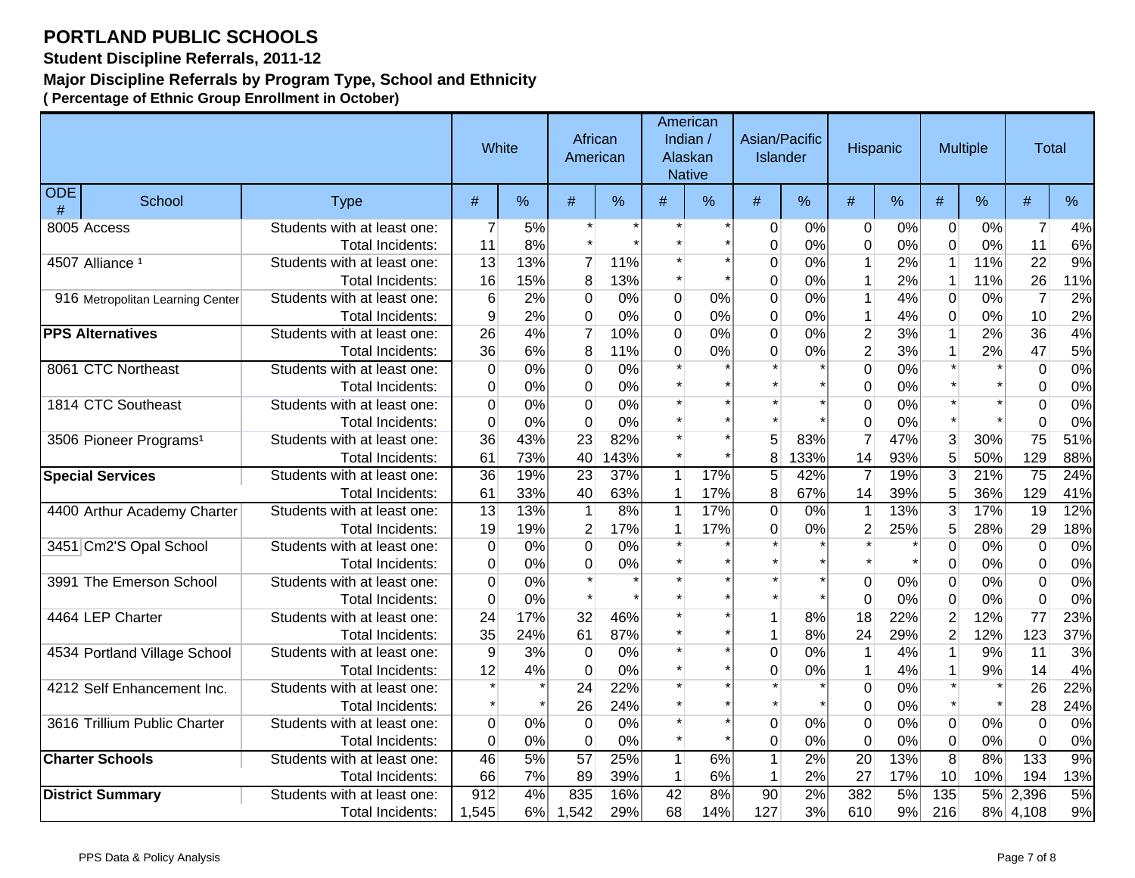**Student Discipline Referrals, 2011-12**

#### **Major Discipline Referrals by Program Type, School and Ethnicity**

|                 |                                    |                             |                  | White |                | African<br>American |              | American<br>Indian /<br>Alaskan<br><b>Native</b> | Asian/Pacific<br><b>Islander</b> |       | Hispanic        |     |                  | <b>Multiple</b> | <b>Total</b>   |     |
|-----------------|------------------------------------|-----------------------------|------------------|-------|----------------|---------------------|--------------|--------------------------------------------------|----------------------------------|-------|-----------------|-----|------------------|-----------------|----------------|-----|
| <b>ODE</b><br># | School                             | <b>Type</b>                 | $\#$             | %     | #              | %                   | $\#$         | $\frac{9}{6}$                                    | #                                | %     | $\#$            | %   | #                | %               | $\#$           | %   |
|                 | 8005 Access                        | Students with at least one: | $\overline{7}$   | 5%    |                |                     |              |                                                  | 0                                | 0%    | $\mathbf 0$     | 0%  | $\mathbf 0$      | 0%              | $\overline{7}$ | 4%  |
|                 |                                    | Total Incidents:            | 11               | 8%    |                |                     |              |                                                  | $\overline{0}$                   | 0%    | $\overline{0}$  | 0%  | $\overline{0}$   | 0%              | 11             | 6%  |
|                 | 4507 Alliance <sup>1</sup>         | Students with at least one: | 13               | 13%   | $\overline{7}$ | 11%                 |              |                                                  | $\mathbf 0$                      | 0%    | 1               | 2%  | $\overline{1}$   | 11%             | 22             | 9%  |
|                 |                                    | <b>Total Incidents:</b>     | 16               | 15%   | 8              | 13%                 | $\star$      |                                                  | $\overline{0}$                   | 0%    | $\mathbf{1}$    | 2%  | $\overline{1}$   | 11%             | 26             | 11% |
|                 | 916 Metropolitan Learning Center   | Students with at least one: | $6\phantom{1}6$  | 2%    | $\overline{0}$ | 0%                  | 0            | 0%                                               | $\overline{0}$                   | 0%    | $\mathbf{1}$    | 4%  | $\mathbf 0$      | 0%              | $\overline{7}$ | 2%  |
|                 |                                    | <b>Total Incidents:</b>     | 9                | 2%    | $\overline{0}$ | 0%                  | 0            | 0%                                               | $\mathbf 0$                      | 0%    | $\mathbf{1}$    | 4%  | $\mathbf 0$      | 0%              | 10             | 2%  |
|                 | <b>PPS Alternatives</b>            | Students with at least one: | 26               | 4%    | $\overline{7}$ | 10%                 | 0            | 0%                                               | $\overline{0}$                   | 0%    | $\overline{2}$  | 3%  | $\mathbf{1}$     | 2%              | 36             | 4%  |
|                 |                                    | Total Incidents:            | 36               | 6%    | 8              | 11%                 | 0            | 0%                                               | $\mathbf 0$                      | 0%    | $\overline{2}$  | 3%  | $\mathbf{1}$     | 2%              | 47             | 5%  |
|                 | 8061 CTC Northeast                 | Students with at least one: | $\boldsymbol{0}$ | 0%    | $\overline{0}$ | 0%                  |              |                                                  |                                  |       | $\mathbf 0$     | 0%  |                  |                 | 0              | 0%  |
|                 |                                    | Total Incidents:            | $\mathbf 0$      | 0%    | $\overline{0}$ | 0%                  | $\star$      |                                                  |                                  |       | $\Omega$        | 0%  |                  |                 | 0              | 0%  |
|                 | 1814 CTC Southeast                 | Students with at least one: | $\mathbf 0$      | 0%    | 0              | 0%                  | $\star$      |                                                  |                                  |       | $\Omega$        | 0%  |                  |                 | 0              | 0%  |
|                 |                                    | <b>Total Incidents:</b>     | $\boldsymbol{0}$ | 0%    | 0              | 0%                  | $\star$      |                                                  |                                  |       | $\Omega$        | 0%  |                  |                 | $\overline{0}$ | 0%  |
|                 | 3506 Pioneer Programs <sup>1</sup> | Students with at least one: | 36               | 43%   | 23             | 82%                 | *            |                                                  | 5                                | 83%   | $\overline{7}$  | 47% | 3                | 30%             | 75             | 51% |
|                 |                                    | <b>Total Incidents:</b>     | 61               | 73%   | 40             | 43%                 | $\star$      |                                                  | 8                                | 33%   | 14              | 93% | 5                | 50%             | 129            | 88% |
|                 | <b>Special Services</b>            | Students with at least one: | 36               | 19%   | 23             | 37%                 | 1            | 17%                                              | 5 <sup>1</sup>                   | 42%   | $\overline{7}$  | 19% | 3                | 21%             | 75             | 24% |
|                 |                                    | <b>Total Incidents:</b>     | 61               | 33%   | 40             | 63%                 | 1            | 17%                                              | 8 <sup>1</sup>                   | 67%   | 14              | 39% | 5                | 36%             | 129            | 41% |
|                 | 4400 Arthur Academy Charter        | Students with at least one: | 13               | 13%   | 1              | 8%                  | $\mathbf{1}$ | 17%                                              | $\overline{0}$                   | 0%    | $\mathbf{1}$    | 13% | $\overline{3}$   | 17%             | 19             | 12% |
|                 |                                    | Total Incidents:            | 19               | 19%   | $\overline{2}$ | 17%                 | 1            | 17%                                              | 0                                | $0\%$ | $\overline{2}$  | 25% | 5 <sub>5</sub>   | 28%             | 29             | 18% |
|                 | 3451 Cm2'S Opal School             | Students with at least one: | 0                | 0%    | $\overline{0}$ | 0%                  | $\star$      |                                                  |                                  |       |                 |     | $\Omega$         | 0%              | $\Omega$       | 0%  |
|                 |                                    | Total Incidents:            | 0                | 0%    | $\overline{0}$ | 0%                  | $\star$      |                                                  |                                  |       |                 |     | $\Omega$         | 0%              | $\overline{0}$ | 0%  |
|                 | 3991 The Emerson School            | Students with at least one: | $\mathbf 0$      | 0%    | $\star$        |                     |              |                                                  |                                  |       | $\overline{0}$  | 0%  | $\overline{0}$   | 0%              | 0              | 0%  |
|                 |                                    | <b>Total Incidents:</b>     | $\mathbf 0$      | 0%    |                |                     |              |                                                  |                                  |       | $\Omega$        | 0%  | $\overline{0}$   | 0%              | $\overline{0}$ | 0%  |
|                 | 4464 LEP Charter                   | Students with at least one: | 24               | 17%   | 32             | 46%                 |              |                                                  | $\mathbf{1}$                     | 8%    | 18              | 22% | $\overline{2}$   | 12%             | 77             | 23% |
|                 |                                    | <b>Total Incidents:</b>     | 35               | 24%   | 61             | 87%                 |              |                                                  | $\mathbf{1}$                     | 8%    | 24              | 29% | $\overline{2}$   | 12%             | 123            | 37% |
|                 | 4534 Portland Village School       | Students with at least one: | $9$              | 3%    | $\mathbf 0$    | 0%                  | $\star$      |                                                  | $\overline{0}$                   | 0%    | $\mathbf{1}$    | 4%  | $\mathbf{1}$     | 9%              | 11             | 3%  |
|                 |                                    | Total Incidents:            | 12               | 4%    | $\overline{0}$ | 0%                  |              |                                                  | $\overline{0}$                   | 0%    | $\mathbf{1}$    | 4%  | $\mathbf{1}$     | 9%              | 14             | 4%  |
|                 | 4212 Self Enhancement Inc.         | Students with at least one: | $\star$          |       | 24             | 22%                 | $\star$      |                                                  |                                  |       | $\overline{0}$  | 0%  |                  |                 | 26             | 22% |
|                 |                                    | <b>Total Incidents:</b>     | $\star$          |       | 26             | 24%                 |              |                                                  | $\star$                          |       | $\Omega$        | 0%  |                  |                 | 28             | 24% |
|                 | 3616 Trillium Public Charter       | Students with at least one: | $\mathbf 0$      | 0%    | $\mathbf 0$    | 0%                  | *            |                                                  | 0                                | 0%    | $\Omega$        | 0%  | $\Omega$         | 0%              | 0              | 0%  |
|                 |                                    | Total Incidents:            | $\mathbf 0$      | 0%    | 0              | 0%                  | $\star$      |                                                  | $\mathbf 0$                      | 0%    | $\mathbf 0$     | 0%  | $\mathbf 0$      | 0%              | $\overline{0}$ | 0%  |
|                 | <b>Charter Schools</b>             | Students with at least one: | 46               | 5%    | 57             | 25%                 | $\mathbf{1}$ | 6%                                               | $\mathbf{1}$                     | 2%    | $\overline{20}$ | 13% | $\overline{8}$   | 8%              | 133            | 9%  |
|                 |                                    | <b>Total Incidents:</b>     | 66               | 7%    | 89             | 39%                 | $\mathbf{1}$ | 6%                                               | $\mathbf{1}$                     | 2%    | 27              | 17% | 10               | 10%             | 194            | 13% |
|                 | <b>District Summary</b>            | Students with at least one: | 912              | 4%    | 835            | 16%                 | 42           | 8%                                               | 90                               | 2%    | 382             | 5%  | $\overline{135}$ | 5%              | 2,396          | 5%  |
|                 |                                    | Total Incidents:            | 1,545            | 6%    | 1,542          | 29%                 | 68           | 14%                                              | 127                              | 3%    | 610             | 9%  | 216              | 8%              | 4,108          | 9%  |